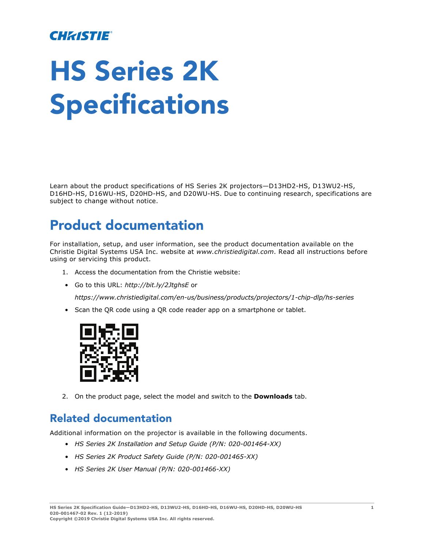### **CHRISTIE®**

# HS Series 2K Specifications

Learn about the product specifications of HS Series 2K projectors—D13HD2-HS, D13WU2-HS, D16HD-HS, D16WU-HS, D20HD-HS, and D20WU-HS. Due to continuing research, specifications are subject to change without notice.

### Product documentation

For installation, setup, and user information, see the product documentation available on the Christie Digital Systems USA Inc. website at *www.christiedigital.com*. Read all instructions before using or servicing this product.

- 1. Access the documentation from the Christie website:
- Go to this URL: *http://bit.ly/2JtghsE* or

*<https://www.christiedigital.com/en-us/business/products/projectors/1-chip-dlp/hs-series>*

• Scan the QR code using a QR code reader app on a smartphone or tablet.



2. On the product page, select the model and switch to the **Downloads** tab.

### Related documentation

Additional information on the projector is available in the following documents.

- *HS Series 2K Installation and Setup Guide (P/N: 020-001464-XX)*
- *HS Series 2K Product Safety Guide (P/N: 020-001465-XX)*
- *HS Series 2K User Manual (P/N: 020-001466-XX)*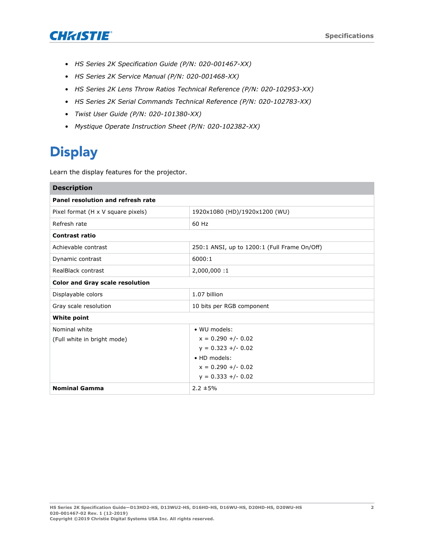

- *HS Series 2K Specification Guide (P/N: 020-001467-XX)*
- *HS Series 2K Service Manual (P/N: 020-001468-XX)*
- *HS Series 2K Lens Throw Ratios Technical Reference (P/N: 020-102953-XX)*
- *HS Series 2K Serial Commands Technical Reference (P/N: 020-102783-XX)*
- *Twist User Guide (P/N: 020-101380-XX)*
- *Mystique Operate Instruction Sheet (P/N: 020-102382-XX)*

# **Display**

Learn the display features for the projector.

| <b>Description</b>                     |                                              |
|----------------------------------------|----------------------------------------------|
| Panel resolution and refresh rate      |                                              |
| Pixel format (H x V square pixels)     | 1920x1080 (HD)/1920x1200 (WU)                |
| Refresh rate                           | 60 Hz                                        |
| <b>Contrast ratio</b>                  |                                              |
| Achievable contrast                    | 250:1 ANSI, up to 1200:1 (Full Frame On/Off) |
| Dynamic contrast                       | 6000:1                                       |
| RealBlack contrast                     | 2,000,000:1                                  |
| <b>Color and Gray scale resolution</b> |                                              |
| Displayable colors                     | 1.07 billion                                 |
| Gray scale resolution                  | 10 bits per RGB component                    |
| <b>White point</b>                     |                                              |
| Nominal white                          | • WU models:                                 |
| (Full white in bright mode)            | $x = 0.290 +/- 0.02$                         |
|                                        | $y = 0.323 +/- 0.02$                         |
|                                        | • HD models:                                 |
|                                        | $x = 0.290 +/- 0.02$                         |
|                                        | $y = 0.333 +/- 0.02$                         |
| <b>Nominal Gamma</b>                   | $2.2 \pm 5\%$                                |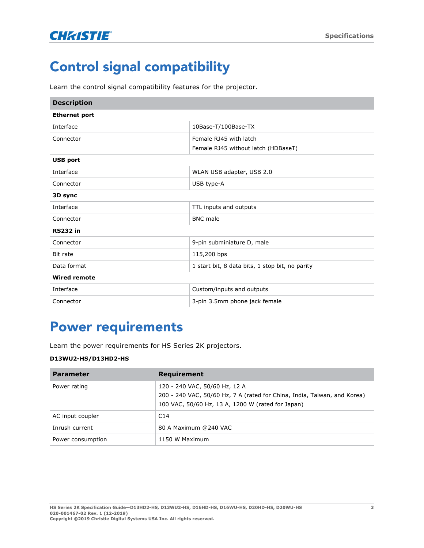# Control signal compatibility

Learn the control signal compatibility features for the projector.

| <b>Description</b>   |                                                 |
|----------------------|-------------------------------------------------|
| <b>Ethernet port</b> |                                                 |
| Interface            | 10Base-T/100Base-TX                             |
| Connector            | Female RJ45 with latch                          |
|                      | Female RJ45 without latch (HDBaseT)             |
| <b>USB port</b>      |                                                 |
| Interface            | WLAN USB adapter, USB 2.0                       |
| Connector            | USB type-A                                      |
| 3D sync              |                                                 |
| Interface            | TTL inputs and outputs                          |
| Connector            | <b>BNC</b> male                                 |
| <b>RS232 in</b>      |                                                 |
| Connector            | 9-pin subminiature D, male                      |
| Bit rate             | 115,200 bps                                     |
| Data format          | 1 start bit, 8 data bits, 1 stop bit, no parity |
| <b>Wired remote</b>  |                                                 |
| Interface            | Custom/inputs and outputs                       |
| Connector            | 3-pin 3.5mm phone jack female                   |

## Power requirements

Learn the power requirements for HS Series 2K projectors.

#### **D13WU2-HS/D13HD2-HS**

| <b>Parameter</b>  | Requirement                                                                                                                                                    |
|-------------------|----------------------------------------------------------------------------------------------------------------------------------------------------------------|
| Power rating      | 120 - 240 VAC, 50/60 Hz, 12 A<br>200 - 240 VAC, 50/60 Hz, 7 A (rated for China, India, Taiwan, and Korea)<br>100 VAC, 50/60 Hz, 13 A, 1200 W (rated for Japan) |
| AC input coupler  | C14                                                                                                                                                            |
| Inrush current    | 80 A Maximum @240 VAC                                                                                                                                          |
| Power consumption | 1150 W Maximum                                                                                                                                                 |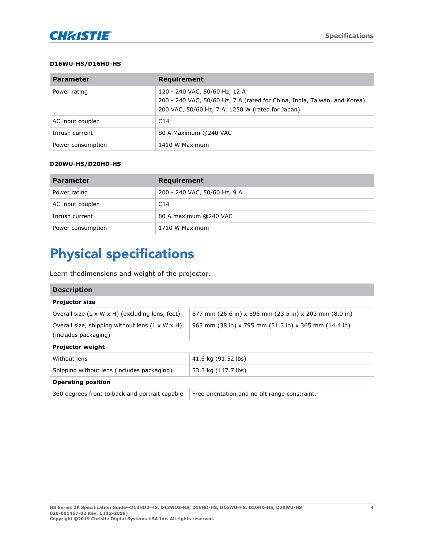#### **D16WU-HS/D16HD-HS**

| <b>Parameter</b>  | Requirement                                                                                                                                                   |
|-------------------|---------------------------------------------------------------------------------------------------------------------------------------------------------------|
| Power rating      | 120 - 240 VAC, 50/60 Hz, 12 A<br>200 - 240 VAC, 50/60 Hz, 7 A (rated for China, India, Taiwan, and Korea)<br>200 VAC, 50/60 Hz, 7 A, 1250 W (rated for Japan) |
| AC input coupler  | C14                                                                                                                                                           |
| Inrush current    | 80 A Maximum @240 VAC                                                                                                                                         |
| Power consumption | 1410 W Maximum                                                                                                                                                |

#### **D20WU-HS/D20HD-HS**

| <b>Parameter</b>  | Requirement                  |
|-------------------|------------------------------|
| Power rating      | 200 - 240 VAC, 50/60 Hz, 9 A |
| AC input coupler  | C14                          |
| Inrush current    | 80 A maximum @240 VAC        |
| Power consumption | 1710 W Maximum               |

# Physical specifications

Learn thedimensions and weight of the projector.

| <b>Description</b>                                                                  |                                                       |  |
|-------------------------------------------------------------------------------------|-------------------------------------------------------|--|
| <b>Projector size</b>                                                               |                                                       |  |
| Overall size $(L \times W \times H)$ (excluding lens, feet)                         | 677 mm (26.6 in) x 596 mm (23.5 in) x 203 mm (8.0 in) |  |
| Overall size, shipping without lens $(L \times W \times H)$<br>(includes packaging) | 965 mm (38 in) x 795 mm (31.3 in) x 365 mm (14.4 in)  |  |
| <b>Projector weight</b>                                                             |                                                       |  |
| Without lens                                                                        | 41.6 kg (91.52 lbs)                                   |  |
| Shipping without lens (includes packaging)                                          | 53.3 kg (117.7 lbs)                                   |  |
| <b>Operating position</b>                                                           |                                                       |  |
| 360 degrees front to back and portrait capable                                      | Free orientation and no tilt range constraint.        |  |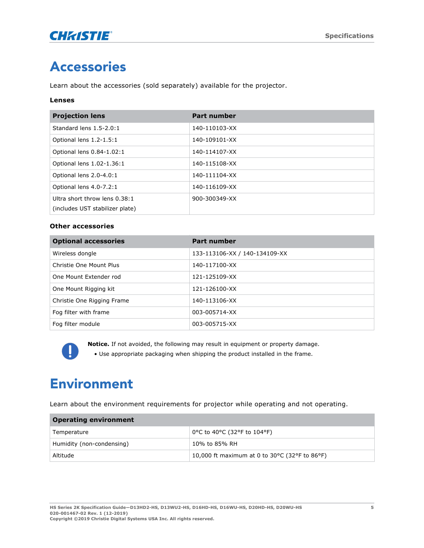

# Accessories

Learn about the accessories (sold separately) available for the projector.

#### **Lenses**

| <b>Projection lens</b>          | <b>Part number</b> |
|---------------------------------|--------------------|
| Standard lens 1.5-2.0:1         | 140-110103-XX      |
| Optional lens 1.2-1.5:1         | 140-109101-XX      |
| Optional lens 0.84-1.02:1       | 140-114107-XX      |
| Optional lens 1.02-1.36:1       | 140-115108-XX      |
| Optional lens 2.0-4.0:1         | 140-111104-XX      |
| Optional lens 4.0-7.2:1         | 140-116109-XX      |
| Ultra short throw lens 0.38:1   | 900-300349-XX      |
| (includes UST stabilizer plate) |                    |

#### **Other accessories**

| <b>Optional accessories</b> | Part number                   |
|-----------------------------|-------------------------------|
| Wireless dongle             | 133-113106-XX / 140-134109-XX |
| Christie One Mount Plus     | 140-117100-XX                 |
| One Mount Extender rod      | 121-125109-XX                 |
| One Mount Rigging kit       | 121-126100-XX                 |
| Christie One Rigging Frame  | 140-113106-XX                 |
| Fog filter with frame       | 003-005714-XX                 |
| Fog filter module           | 003-005715-XX                 |



**Notice.** If not avoided, the following may result in equipment or property damage.

• Use appropriate packaging when shipping the product installed in the frame.

# Environment

Learn about the environment requirements for projector while operating and not operating.

| <b>Operating environment</b> |                                                  |
|------------------------------|--------------------------------------------------|
| Temperature                  | 0°C to 40°C (32°F to 104°F)                      |
| Humidity (non-condensing)    | 10% to 85% RH                                    |
| Altitude                     | 10,000 ft maximum at 0 to 30 °C (32 °F to 86 °F) |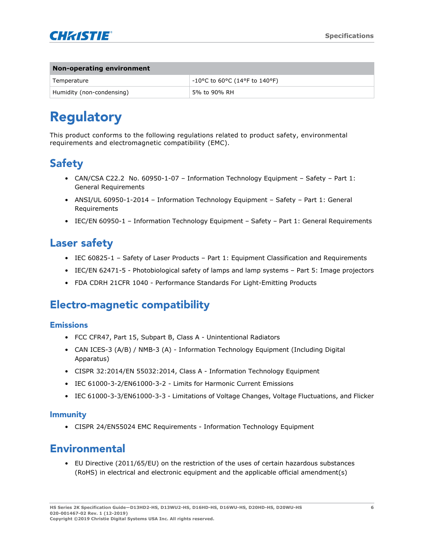

| Non-operating environment |                                                                          |
|---------------------------|--------------------------------------------------------------------------|
| Temperature               | $-10^{\circ}$ C to 60 $^{\circ}$ C (14 $^{\circ}$ F to 140 $^{\circ}$ F) |
| Humidity (non-condensing) | 5% to 90% RH                                                             |

# Regulatory

This product conforms to the following regulations related to product safety, environmental requirements and electromagnetic compatibility (EMC).

### **Safety**

- CAN/CSA C22.2 No. 60950-1-07 Information Technology Equipment Safety Part 1: General Requirements
- ANSI/UL 60950-1-2014 Information Technology Equipment Safety Part 1: General Requirements
- IEC/EN 60950-1 Information Technology Equipment Safety Part 1: General Requirements

### Laser safety

- IEC 60825-1 Safety of Laser Products Part 1: Equipment Classification and Requirements
- IEC/EN 62471-5 Photobiological safety of lamps and lamp systems Part 5: Image projectors
- FDA CDRH 21CFR 1040 Performance Standards For Light-Emitting Products

### Electro-magnetic compatibility

#### Emissions

- FCC CFR47, Part 15, Subpart B, Class A Unintentional Radiators
- CAN ICES-3 (A/B) / NMB-3 (A) Information Technology Equipment (Including Digital Apparatus)
- CISPR 32:2014/EN 55032:2014, Class A Information Technology Equipment
- IEC 61000-3-2/EN61000-3-2 Limits for Harmonic Current Emissions
- IEC 61000-3-3/EN61000-3-3 Limitations of Voltage Changes, Voltage Fluctuations, and Flicker

#### Immunity

• CISPR 24/EN55024 EMC Requirements - Information Technology Equipment

### Environmental

• EU Directive (2011/65/EU) on the restriction of the uses of certain hazardous substances (RoHS) in electrical and electronic equipment and the applicable official amendment(s)